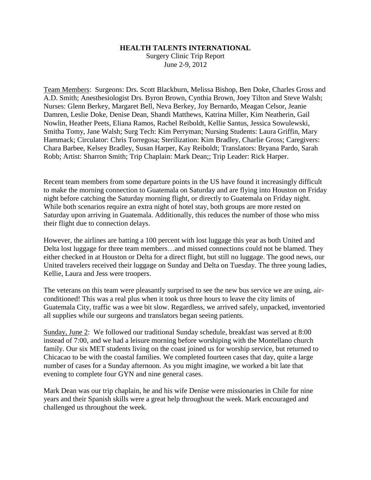## **HEALTH TALENTS INTERNATIONAL**

Surgery Clinic Trip Report June 2-9, 2012

Team Members: Surgeons: Drs. Scott Blackburn, Melissa Bishop, Ben Doke, Charles Gross and A.D. Smith; Anesthesiologist Drs. Byron Brown, Cynthia Brown, Joey Tilton and Steve Walsh; Nurses: Glenn Berkey, Margaret Bell, Neva Berkey, Joy Bernardo, Meagan Celsor, Jeanie Damren, Leslie Doke, Denise Dean, Shandi Matthews, Katrina Miller, Kim Neatherin, Gail Nowlin, Heather Peets, Eliana Ramos, Rachel Reiboldt, Kellie Santus, Jessica Sowulewski, Smitha Tomy, Jane Walsh; Surg Tech: Kim Perryman; Nursing Students: Laura Griffin, Mary Hammack; Circulator: Chris Torregosa; Sterilization: Kim Bradley, Charlie Gross; Caregivers: Chara Barbee, Kelsey Bradley, Susan Harper, Kay Reiboldt; Translators: Bryana Pardo, Sarah Robb; Artist: Sharron Smith; Trip Chaplain: Mark Dean;; Trip Leader: Rick Harper.

Recent team members from some departure points in the US have found it increasingly difficult to make the morning connection to Guatemala on Saturday and are flying into Houston on Friday night before catching the Saturday morning flight, or directly to Guatemala on Friday night. While both scenarios require an extra night of hotel stay, both groups are more rested on Saturday upon arriving in Guatemala. Additionally, this reduces the number of those who miss their flight due to connection delays.

However, the airlines are batting a 100 percent with lost luggage this year as both United and Delta lost luggage for three team members…and missed connections could not be blamed. They either checked in at Houston or Delta for a direct flight, but still no luggage. The good news, our United travelers received their luggage on Sunday and Delta on Tuesday. The three young ladies, Kellie, Laura and Jess were troopers.

The veterans on this team were pleasantly surprised to see the new bus service we are using, airconditioned! This was a real plus when it took us three hours to leave the city limits of Guatemala City, traffic was a wee bit slow. Regardless, we arrived safely, unpacked, inventoried all supplies while our surgeons and translators began seeing patients.

Sunday, June 2: We followed our traditional Sunday schedule, breakfast was served at 8:00 instead of 7:00, and we had a leisure morning before worshiping with the Montellano church family. Our six MET students living on the coast joined us for worship service, but returned to Chicacao to be with the coastal families. We completed fourteen cases that day, quite a large number of cases for a Sunday afternoon. As you might imagine, we worked a bit late that evening to complete four GYN and nine general cases.

Mark Dean was our trip chaplain, he and his wife Denise were missionaries in Chile for nine years and their Spanish skills were a great help throughout the week. Mark encouraged and challenged us throughout the week.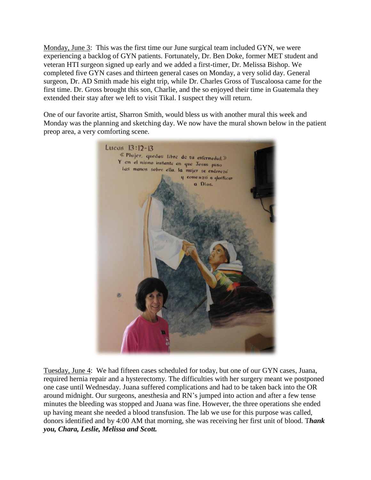Monday, June 3: This was the first time our June surgical team included GYN, we were experiencing a backlog of GYN patients. Fortunately, Dr. Ben Doke, former MET student and veteran HTI surgeon signed up early and we added a first-timer, Dr. Melissa Bishop. We completed five GYN cases and thirteen general cases on Monday, a very solid day. General surgeon, Dr. AD Smith made his eight trip, while Dr. Charles Gross of Tuscaloosa came for the first time. Dr. Gross brought this son, Charlie, and the so enjoyed their time in Guatemala they extended their stay after we left to visit Tikal. I suspect they will return.

One of our favorite artist, Sharron Smith, would bless us with another mural this week and Monday was the planning and sketching day. We now have the mural shown below in the patient preop area, a very comforting scene.



Tuesday, June 4: We had fifteen cases scheduled for today, but one of our GYN cases, Juana, required hernia repair and a hysterectomy. The difficulties with her surgery meant we postponed one case until Wednesday. Juana suffered complications and had to be taken back into the OR around midnight. Our surgeons, anesthesia and RN's jumped into action and after a few tense minutes the bleeding was stopped and Juana was fine. However, the three operations she ended up having meant she needed a blood transfusion. The lab we use for this purpose was called, donors identified and by 4:00 AM that morning, she was receiving her first unit of blood. T*hank you, Chara, Leslie, Melissa and Scott.*